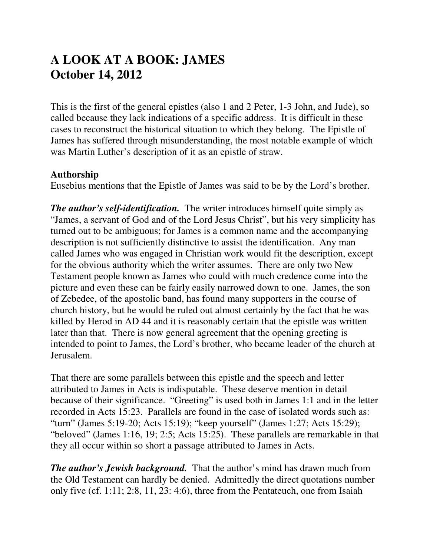# **A LOOK AT A BOOK: JAMES October 14, 2012**

This is the first of the general epistles (also 1 and 2 Peter, 1-3 John, and Jude), so called because they lack indications of a specific address. It is difficult in these cases to reconstruct the historical situation to which they belong. The Epistle of James has suffered through misunderstanding, the most notable example of which was Martin Luther's description of it as an epistle of straw.

#### **Authorship**

Eusebius mentions that the Epistle of James was said to be by the Lord's brother.

*The author's self-identification.* The writer introduces himself quite simply as "James, a servant of God and of the Lord Jesus Christ", but his very simplicity has turned out to be ambiguous; for James is a common name and the accompanying description is not sufficiently distinctive to assist the identification. Any man called James who was engaged in Christian work would fit the description, except for the obvious authority which the writer assumes. There are only two New Testament people known as James who could with much credence come into the picture and even these can be fairly easily narrowed down to one. James, the son of Zebedee, of the apostolic band, has found many supporters in the course of church history, but he would be ruled out almost certainly by the fact that he was killed by Herod in AD 44 and it is reasonably certain that the epistle was written later than that. There is now general agreement that the opening greeting is intended to point to James, the Lord's brother, who became leader of the church at Jerusalem.

That there are some parallels between this epistle and the speech and letter attributed to James in Acts is indisputable. These deserve mention in detail because of their significance. "Greeting" is used both in James 1:1 and in the letter recorded in Acts 15:23. Parallels are found in the case of isolated words such as: "turn" (James 5:19-20; Acts 15:19); "keep yourself" (James 1:27; Acts 15:29); "beloved" (James 1:16, 19; 2:5; Acts 15:25). These parallels are remarkable in that they all occur within so short a passage attributed to James in Acts.

*The author's Jewish background.* That the author's mind has drawn much from the Old Testament can hardly be denied. Admittedly the direct quotations number only five (cf. 1:11; 2:8, 11, 23: 4:6), three from the Pentateuch, one from Isaiah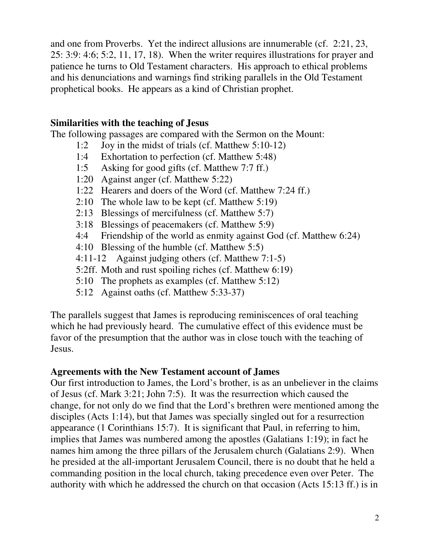and one from Proverbs. Yet the indirect allusions are innumerable (cf. 2:21, 23, 25: 3:9: 4:6; 5:2, 11, 17, 18). When the writer requires illustrations for prayer and patience he turns to Old Testament characters. His approach to ethical problems and his denunciations and warnings find striking parallels in the Old Testament prophetical books. He appears as a kind of Christian prophet.

#### **Similarities with the teaching of Jesus**

The following passages are compared with the Sermon on the Mount:

- 1:2 Joy in the midst of trials (cf. Matthew 5:10-12)
- 1:4 Exhortation to perfection (cf. Matthew 5:48)
- 1:5 Asking for good gifts (cf. Matthew 7:7 ff.)
- 1:20 Against anger (cf. Matthew 5:22)
- 1:22 Hearers and doers of the Word (cf. Matthew 7:24 ff.)
- 2:10 The whole law to be kept (cf. Matthew 5:19)
- 2:13 Blessings of mercifulness (cf. Matthew 5:7)
- 3:18 Blessings of peacemakers (cf. Matthew 5:9)
- 4:4 Friendship of the world as enmity against God (cf. Matthew 6:24)
- 4:10 Blessing of the humble (cf. Matthew 5:5)
- 4:11-12 Against judging others (cf. Matthew 7:1-5)
- 5:2ff. Moth and rust spoiling riches (cf. Matthew 6:19)
- 5:10 The prophets as examples (cf. Matthew 5:12)
- 5:12 Against oaths (cf. Matthew 5:33-37)

The parallels suggest that James is reproducing reminiscences of oral teaching which he had previously heard. The cumulative effect of this evidence must be favor of the presumption that the author was in close touch with the teaching of Jesus.

#### **Agreements with the New Testament account of James**

Our first introduction to James, the Lord's brother, is as an unbeliever in the claims of Jesus (cf. Mark 3:21; John 7:5). It was the resurrection which caused the change, for not only do we find that the Lord's brethren were mentioned among the disciples (Acts 1:14), but that James was specially singled out for a resurrection appearance (1 Corinthians 15:7). It is significant that Paul, in referring to him, implies that James was numbered among the apostles (Galatians 1:19); in fact he names him among the three pillars of the Jerusalem church (Galatians 2:9). When he presided at the all-important Jerusalem Council, there is no doubt that he held a commanding position in the local church, taking precedence even over Peter. The authority with which he addressed the church on that occasion (Acts 15:13 ff.) is in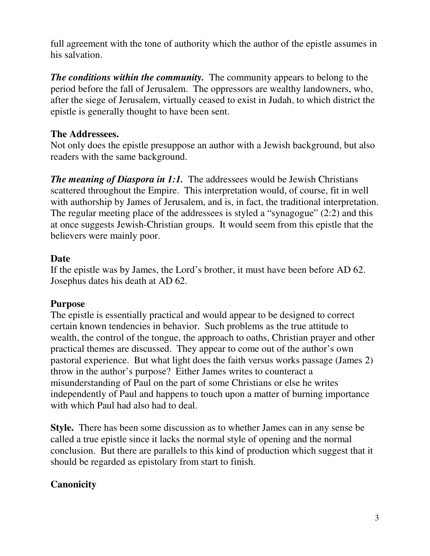full agreement with the tone of authority which the author of the epistle assumes in his salvation.

*The conditions within the community.* The community appears to belong to the period before the fall of Jerusalem. The oppressors are wealthy landowners, who, after the siege of Jerusalem, virtually ceased to exist in Judah, to which district the epistle is generally thought to have been sent.

## **The Addressees.**

Not only does the epistle presuppose an author with a Jewish background, but also readers with the same background.

*The meaning of Diaspora in 1:1.* The addressees would be Jewish Christians scattered throughout the Empire. This interpretation would, of course, fit in well with authorship by James of Jerusalem, and is, in fact, the traditional interpretation. The regular meeting place of the addressees is styled a "synagogue" (2:2) and this at once suggests Jewish-Christian groups. It would seem from this epistle that the believers were mainly poor.

## **Date**

If the epistle was by James, the Lord's brother, it must have been before AD 62. Josephus dates his death at AD 62.

# **Purpose**

The epistle is essentially practical and would appear to be designed to correct certain known tendencies in behavior. Such problems as the true attitude to wealth, the control of the tongue, the approach to oaths, Christian prayer and other practical themes are discussed. They appear to come out of the author's own pastoral experience. But what light does the faith versus works passage (James 2) throw in the author's purpose? Either James writes to counteract a misunderstanding of Paul on the part of some Christians or else he writes independently of Paul and happens to touch upon a matter of burning importance with which Paul had also had to deal.

**Style.** There has been some discussion as to whether James can in any sense be called a true epistle since it lacks the normal style of opening and the normal conclusion. But there are parallels to this kind of production which suggest that it should be regarded as epistolary from start to finish.

# **Canonicity**